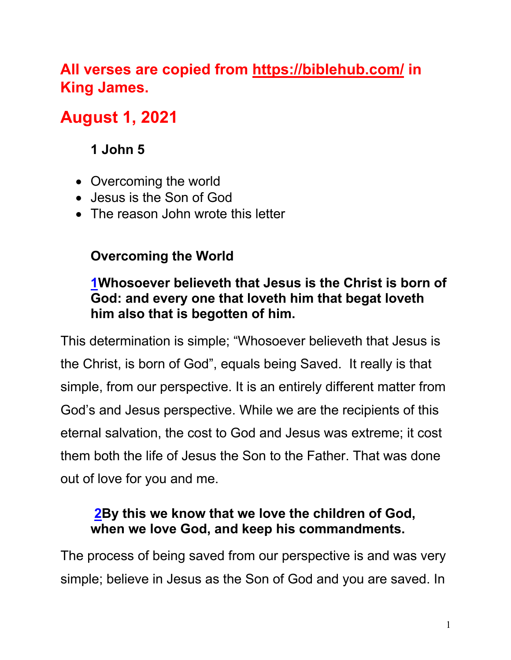# **All verses are copied from https://biblehub.com/ in King James.**

# **August 1, 2021**

# **1 John 5**

- Overcoming the world
- Jesus is the Son of God
- The reason John wrote this letter

## **Overcoming the World**

### **1Whosoever believeth that Jesus is the Christ is born of God: and every one that loveth him that begat loveth him also that is begotten of him.**

This determination is simple; "Whosoever believeth that Jesus is the Christ, is born of God", equals being Saved. It really is that simple, from our perspective. It is an entirely different matter from God's and Jesus perspective. While we are the recipients of this eternal salvation, the cost to God and Jesus was extreme; it cost them both the life of Jesus the Son to the Father. That was done out of love for you and me.

## **2By this we know that we love the children of God, when we love God, and keep his commandments.**

The process of being saved from our perspective is and was very simple; believe in Jesus as the Son of God and you are saved. In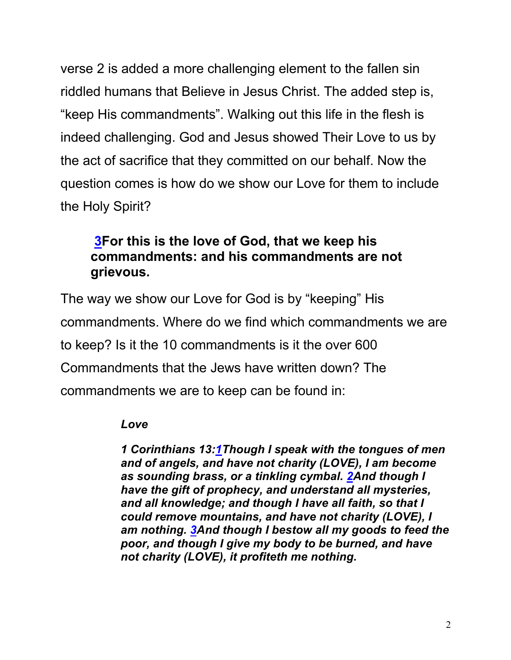verse 2 is added a more challenging element to the fallen sin riddled humans that Believe in Jesus Christ. The added step is, "keep His commandments". Walking out this life in the flesh is indeed challenging. God and Jesus showed Their Love to us by the act of sacrifice that they committed on our behalf. Now the question comes is how do we show our Love for them to include the Holy Spirit?

### **3For this is the love of God, that we keep his commandments: and his commandments are not grievous.**

The way we show our Love for God is by "keeping" His commandments. Where do we find which commandments we are to keep? Is it the 10 commandments is it the over 600 Commandments that the Jews have written down? The commandments we are to keep can be found in:

#### *Love*

*1 Corinthians 13:1Though I speak with the tongues of men and of angels, and have not charity (LOVE), I am become as sounding brass, or a tinkling cymbal. 2And though I have the gift of prophecy, and understand all mysteries, and all knowledge; and though I have all faith, so that I could remove mountains, and have not charity (LOVE), I am nothing. 3And though I bestow all my goods to feed the poor, and though I give my body to be burned, and have not charity (LOVE), it profiteth me nothing.*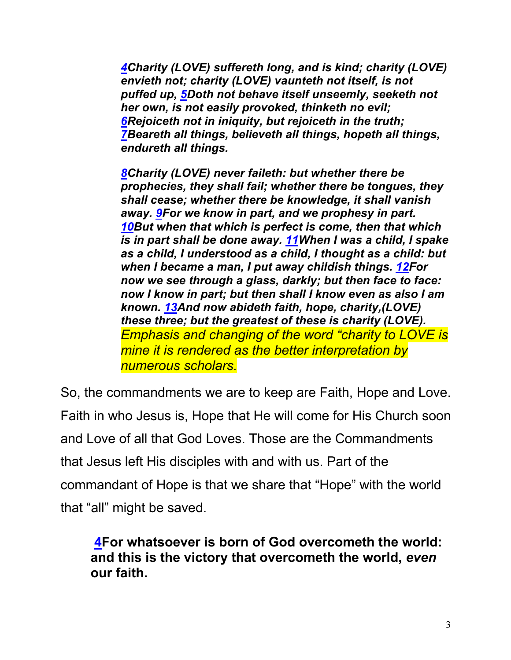*4Charity (LOVE) suffereth long, and is kind; charity (LOVE) envieth not; charity (LOVE) vaunteth not itself, is not puffed up, 5Doth not behave itself unseemly, seeketh not her own, is not easily provoked, thinketh no evil; 6Rejoiceth not in iniquity, but rejoiceth in the truth; 7Beareth all things, believeth all things, hopeth all things, endureth all things.*

*8Charity (LOVE) never faileth: but whether there be prophecies, they shall fail; whether there be tongues, they shall cease; whether there be knowledge, it shall vanish away. 9For we know in part, and we prophesy in part. 10But when that which is perfect is come, then that which is in part shall be done away. 11When I was a child, I spake as a child, I understood as a child, I thought as a child: but when I became a man, I put away childish things. 12For now we see through a glass, darkly; but then face to face: now I know in part; but then shall I know even as also I am known. 13And now abideth faith, hope, charity,(LOVE) these three; but the greatest of these is charity (LOVE). Emphasis and changing of the word "charity to LOVE is mine it is rendered as the better interpretation by numerous scholars.*

So, the commandments we are to keep are Faith, Hope and Love. Faith in who Jesus is, Hope that He will come for His Church soon and Love of all that God Loves. Those are the Commandments that Jesus left His disciples with and with us. Part of the commandant of Hope is that we share that "Hope" with the world that "all" might be saved.

**4For whatsoever is born of God overcometh the world: and this is the victory that overcometh the world,** *even* **our faith.**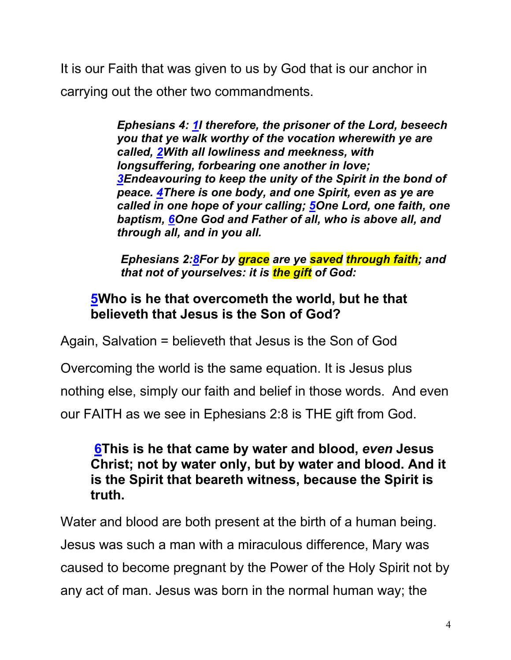It is our Faith that was given to us by God that is our anchor in carrying out the other two commandments.

> *Ephesians 4: 1I therefore, the prisoner of the Lord, beseech you that ye walk worthy of the vocation wherewith ye are called, 2With all lowliness and meekness, with longsuffering, forbearing one another in love; 3Endeavouring to keep the unity of the Spirit in the bond of peace. 4There is one body, and one Spirit, even as ye are called in one hope of your calling; 5One Lord, one faith, one baptism, 6One God and Father of all, who is above all, and through all, and in you all.*

*Ephesians 2:8For by grace are ye saved through faith; and that not of yourselves: it is the gift of God:*

### **5Who is he that overcometh the world, but he that believeth that Jesus is the Son of God?**

Again, Salvation = believeth that Jesus is the Son of God

Overcoming the world is the same equation. It is Jesus plus

nothing else, simply our faith and belief in those words. And even

our FAITH as we see in Ephesians 2:8 is THE gift from God.

#### **6This is he that came by water and blood,** *even* **Jesus Christ; not by water only, but by water and blood. And it is the Spirit that beareth witness, because the Spirit is truth.**

Water and blood are both present at the birth of a human being. Jesus was such a man with a miraculous difference, Mary was caused to become pregnant by the Power of the Holy Spirit not by any act of man. Jesus was born in the normal human way; the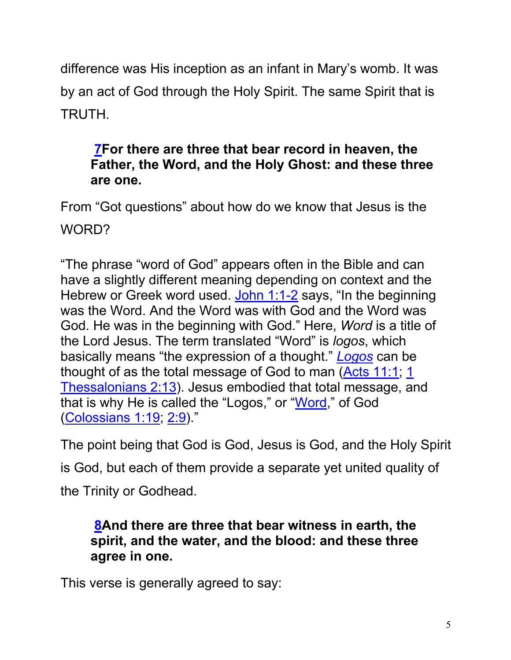difference was His inception as an infant in Mary's womb. It was by an act of God through the Holy Spirit. The same Spirit that is TRUTH.

### **7For there are three that bear record in heaven, the Father, the Word, and the Holy Ghost: and these three are one.**

From "Got questions" about how do we know that Jesus is the WORD?

"The phrase "word of God" appears often in the Bible and can have a slightly different meaning depending on context and the Hebrew or Greek word used. John 1:1-2 says, "In the beginning was the Word. And the Word was with God and the Word was God. He was in the beginning with God." Here, *Word* is a title of the Lord Jesus. The term translated "Word" is *logos*, which basically means "the expression of a thought." *Logos* can be thought of as the total message of God to man (Acts 11:1; 1 Thessalonians 2:13). Jesus embodied that total message, and that is why He is called the "Logos," or "Word," of God (Colossians 1:19; 2:9)."

The point being that God is God, Jesus is God, and the Holy Spirit is God, but each of them provide a separate yet united quality of the Trinity or Godhead.

### **8And there are three that bear witness in earth, the spirit, and the water, and the blood: and these three agree in one.**

This verse is generally agreed to say: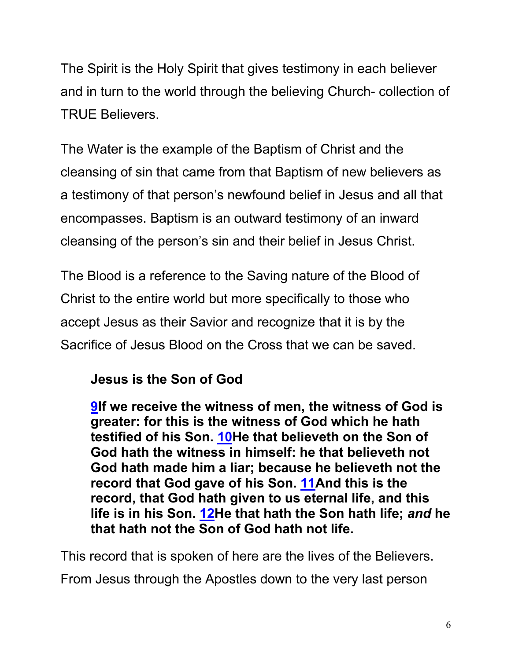The Spirit is the Holy Spirit that gives testimony in each believer and in turn to the world through the believing Church- collection of TRUE Believers.

The Water is the example of the Baptism of Christ and the cleansing of sin that came from that Baptism of new believers as a testimony of that person's newfound belief in Jesus and all that encompasses. Baptism is an outward testimony of an inward cleansing of the person's sin and their belief in Jesus Christ.

The Blood is a reference to the Saving nature of the Blood of Christ to the entire world but more specifically to those who accept Jesus as their Savior and recognize that it is by the Sacrifice of Jesus Blood on the Cross that we can be saved.

## **Jesus is the Son of God**

**9If we receive the witness of men, the witness of God is greater: for this is the witness of God which he hath testified of his Son. 10He that believeth on the Son of God hath the witness in himself: he that believeth not God hath made him a liar; because he believeth not the record that God gave of his Son. 11And this is the record, that God hath given to us eternal life, and this life is in his Son. 12He that hath the Son hath life;** *and* **he that hath not the Son of God hath not life.**

This record that is spoken of here are the lives of the Believers.

From Jesus through the Apostles down to the very last person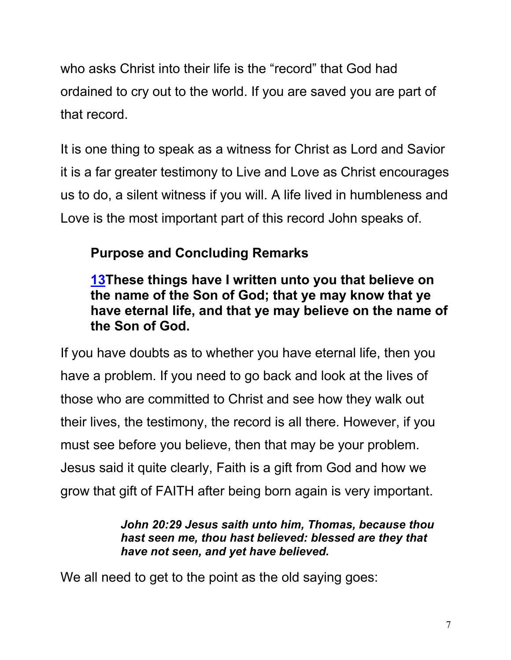who asks Christ into their life is the "record" that God had ordained to cry out to the world. If you are saved you are part of that record.

It is one thing to speak as a witness for Christ as Lord and Savior it is a far greater testimony to Live and Love as Christ encourages us to do, a silent witness if you will. A life lived in humbleness and Love is the most important part of this record John speaks of.

## **Purpose and Concluding Remarks**

**13These things have I written unto you that believe on the name of the Son of God; that ye may know that ye have eternal life, and that ye may believe on the name of the Son of God.**

If you have doubts as to whether you have eternal life, then you have a problem. If you need to go back and look at the lives of those who are committed to Christ and see how they walk out their lives, the testimony, the record is all there. However, if you must see before you believe, then that may be your problem. Jesus said it quite clearly, Faith is a gift from God and how we grow that gift of FAITH after being born again is very important.

> *John 20:29 Jesus saith unto him, Thomas, because thou hast seen me, thou hast believed: blessed are they that have not seen, and yet have believed.*

We all need to get to the point as the old saying goes: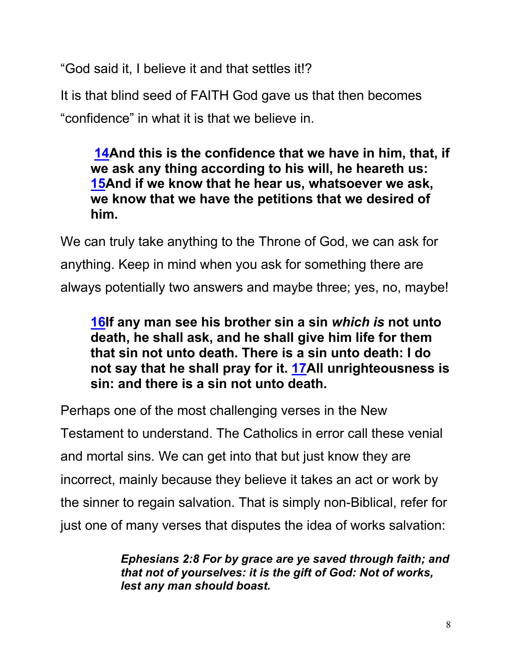"God said it, I believe it and that settles it!?

It is that blind seed of FAITH God gave us that then becomes "confidence" in what it is that we believe in.

**14And this is the confidence that we have in him, that, if we ask any thing according to his will, he heareth us: 15And if we know that he hear us, whatsoever we ask, we know that we have the petitions that we desired of him.**

We can truly take anything to the Throne of God, we can ask for anything. Keep in mind when you ask for something there are always potentially two answers and maybe three; yes, no, maybe!

**16If any man see his brother sin a sin** *which is* **not unto death, he shall ask, and he shall give him life for them that sin not unto death. There is a sin unto death: I do not say that he shall pray for it. 17All unrighteousness is sin: and there is a sin not unto death.**

Perhaps one of the most challenging verses in the New Testament to understand. The Catholics in error call these venial and mortal sins. We can get into that but just know they are incorrect, mainly because they believe it takes an act or work by the sinner to regain salvation. That is simply non-Biblical, refer for just one of many verses that disputes the idea of works salvation:

> *Ephesians 2:8 For by grace are ye saved through faith; and that not of yourselves: it is the gift of God: Not of works, lest any man should boast.*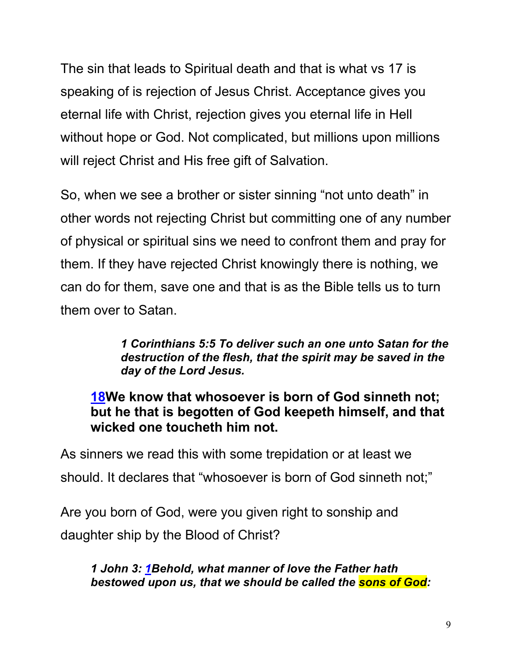The sin that leads to Spiritual death and that is what vs 17 is speaking of is rejection of Jesus Christ. Acceptance gives you eternal life with Christ, rejection gives you eternal life in Hell without hope or God. Not complicated, but millions upon millions will reject Christ and His free gift of Salvation.

So, when we see a brother or sister sinning "not unto death" in other words not rejecting Christ but committing one of any number of physical or spiritual sins we need to confront them and pray for them. If they have rejected Christ knowingly there is nothing, we can do for them, save one and that is as the Bible tells us to turn them over to Satan.

> *1 Corinthians 5:5 To deliver such an one unto Satan for the destruction of the flesh, that the spirit may be saved in the day of the Lord Jesus.*

### **18We know that whosoever is born of God sinneth not; but he that is begotten of God keepeth himself, and that wicked one toucheth him not.**

As sinners we read this with some trepidation or at least we should. It declares that "whosoever is born of God sinneth not;"

Are you born of God, were you given right to sonship and daughter ship by the Blood of Christ?

*1 John 3: 1Behold, what manner of love the Father hath bestowed upon us, that we should be called the sons of God:*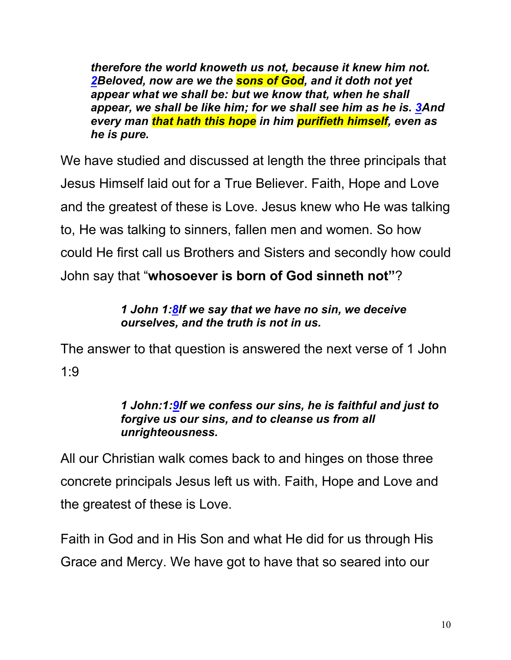*therefore the world knoweth us not, because it knew him not. 2Beloved, now are we the sons of God, and it doth not yet appear what we shall be: but we know that, when he shall appear, we shall be like him; for we shall see him as he is. 3And every man that hath this hope in him purifieth himself, even as he is pure.*

We have studied and discussed at length the three principals that Jesus Himself laid out for a True Believer. Faith, Hope and Love and the greatest of these is Love. Jesus knew who He was talking to, He was talking to sinners, fallen men and women. So how could He first call us Brothers and Sisters and secondly how could John say that "**whosoever is born of God sinneth not"**?

#### *1 John 1:8If we say that we have no sin, we deceive ourselves, and the truth is not in us.*

The answer to that question is answered the next verse of 1 John 1:9

#### *1 John:1:9If we confess our sins, he is faithful and just to forgive us our sins, and to cleanse us from all unrighteousness.*

All our Christian walk comes back to and hinges on those three concrete principals Jesus left us with. Faith, Hope and Love and the greatest of these is Love.

Faith in God and in His Son and what He did for us through His Grace and Mercy. We have got to have that so seared into our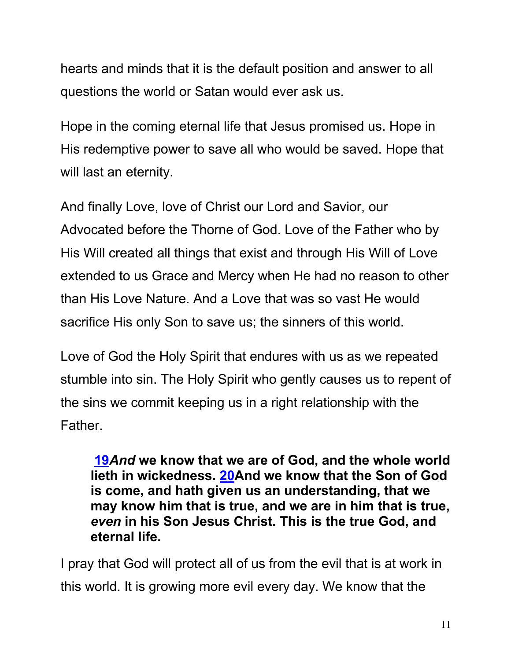hearts and minds that it is the default position and answer to all questions the world or Satan would ever ask us.

Hope in the coming eternal life that Jesus promised us. Hope in His redemptive power to save all who would be saved. Hope that will last an eternity.

And finally Love, love of Christ our Lord and Savior, our Advocated before the Thorne of God. Love of the Father who by His Will created all things that exist and through His Will of Love extended to us Grace and Mercy when He had no reason to other than His Love Nature. And a Love that was so vast He would sacrifice His only Son to save us; the sinners of this world.

Love of God the Holy Spirit that endures with us as we repeated stumble into sin. The Holy Spirit who gently causes us to repent of the sins we commit keeping us in a right relationship with the Father.

**19***And* **we know that we are of God, and the whole world lieth in wickedness. 20And we know that the Son of God is come, and hath given us an understanding, that we may know him that is true, and we are in him that is true,**  *even* **in his Son Jesus Christ. This is the true God, and eternal life.**

I pray that God will protect all of us from the evil that is at work in this world. It is growing more evil every day. We know that the